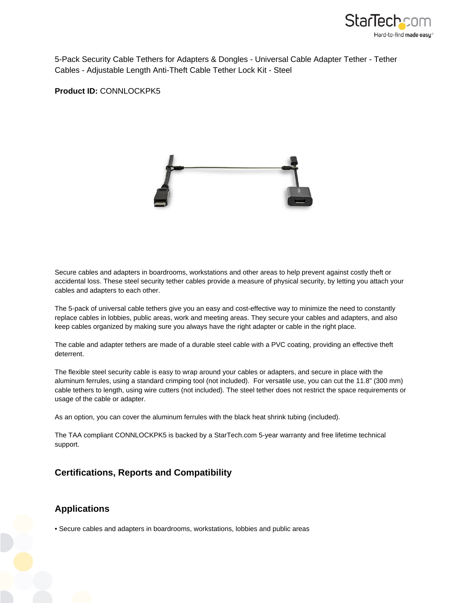

5-Pack Security Cable Tethers for Adapters & Dongles - Universal Cable Adapter Tether - Tether Cables - Adjustable Length Anti-Theft Cable Tether Lock Kit - Steel

**Product ID:** CONNLOCKPK5



Secure cables and adapters in boardrooms, workstations and other areas to help prevent against costly theft or accidental loss. These steel security tether cables provide a measure of physical security, by letting you attach your cables and adapters to each other.

The 5-pack of universal cable tethers give you an easy and cost-effective way to minimize the need to constantly replace cables in lobbies, public areas, work and meeting areas. They secure your cables and adapters, and also keep cables organized by making sure you always have the right adapter or cable in the right place.

The cable and adapter tethers are made of a durable steel cable with a PVC coating, providing an effective theft deterrent.

The flexible steel security cable is easy to wrap around your cables or adapters, and secure in place with the aluminum ferrules, using a standard crimping tool (not included). For versatile use, you can cut the 11.8" (300 mm) cable tethers to length, using wire cutters (not included). The steel tether does not restrict the space requirements or usage of the cable or adapter.

As an option, you can cover the aluminum ferrules with the black heat shrink tubing (included).

The TAA compliant CONNLOCKPK5 is backed by a StarTech.com 5-year warranty and free lifetime technical support.

## **Certifications, Reports and Compatibility**

## **Applications**

• Secure cables and adapters in boardrooms, workstations, lobbies and public areas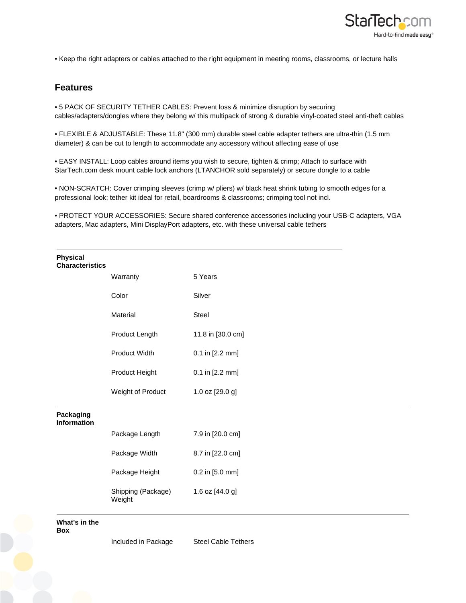

• Keep the right adapters or cables attached to the right equipment in meeting rooms, classrooms, or lecture halls

## **Features**

• 5 PACK OF SECURITY TETHER CABLES: Prevent loss & minimize disruption by securing cables/adapters/dongles where they belong w/ this multipack of strong & durable vinyl-coated steel anti-theft cables

• FLEXIBLE & ADJUSTABLE: These 11.8" (300 mm) durable steel cable adapter tethers are ultra-thin (1.5 mm diameter) & can be cut to length to accommodate any accessory without affecting ease of use

• EASY INSTALL: Loop cables around items you wish to secure, tighten & crimp; Attach to surface with StarTech.com desk mount cable lock anchors (LTANCHOR sold separately) or secure dongle to a cable

• NON-SCRATCH: Cover crimping sleeves (crimp w/ pliers) w/ black heat shrink tubing to smooth edges for a professional look; tether kit ideal for retail, boardrooms & classrooms; crimping tool not incl.

• PROTECT YOUR ACCESSORIES: Secure shared conference accessories including your USB-C adapters, VGA adapters, Mac adapters, Mini DisplayPort adapters, etc. with these universal cable tethers

| <b>Physical</b><br><b>Characteristics</b> |                              |                   |
|-------------------------------------------|------------------------------|-------------------|
|                                           | Warranty                     | 5 Years           |
|                                           | Color                        | Silver            |
|                                           | Material                     | Steel             |
|                                           | Product Length               | 11.8 in [30.0 cm] |
|                                           | Product Width                | 0.1 in [2.2 mm]   |
|                                           | Product Height               | 0.1 in [2.2 mm]   |
|                                           | Weight of Product            | 1.0 oz [29.0 g]   |
| Packaging<br><b>Information</b>           |                              |                   |
|                                           | Package Length               | 7.9 in [20.0 cm]  |
|                                           | Package Width                | 8.7 in [22.0 cm]  |
|                                           | Package Height               | 0.2 in [5.0 mm]   |
|                                           | Shipping (Package)<br>Weight | 1.6 oz [44.0 g]   |
|                                           |                              |                   |

**What's in the** 

**Box**

Included in Package Steel Cable Tethers